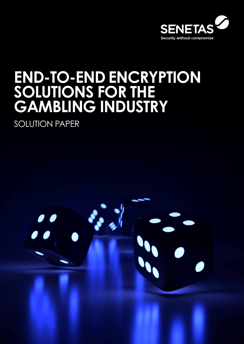

# **END-TO-END ENCRYPTION SOLUTIONS FOR THE GAMBLING INDUSTRY**

SOLUTION PAPER

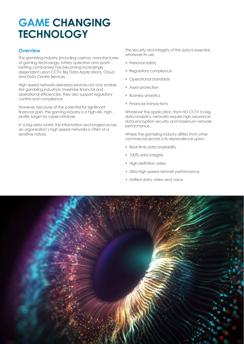# **GAME CHANGING TECHNOLOGY**

#### **Overview**

The gambling industry (including casinos, manufacturers of gaming technology, lottery operators and sports betting companies) has becoming increasingly dependent upon CCTV, Big Data Applications, Cloud and Data Centre Services.

High speed network-delivered services not only enable the gambling industryto maximise financial and operational efficiencies, they also support regulatory control and compliance.

However, because of the potential for significant financial gain, the gaming industry is a high-risk, highprofile target for cyber-criminals.

In a big-data world, the information exchanged across an organisation's high speed networks is often of a sensitive nature.

The security and integrity of this data is essential, whatever its use:

- Personal safety
- Requlatory compliance
- Operational standards
- Asset protection
- Business analytics
- Financial transactions

Whatever the application, from HD CCTV to big data analytics, networks require high-assurance data encryption security and maximum network performance.

Where the gambling industry differs from other commercial sectors is its dependence upon:

- Real-time data availability
- 100% data intearity
- High-definition video
- Ultra-high speed network performance
- Unified data, video and voice

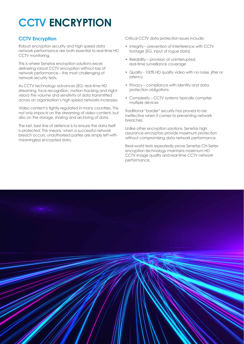# **CCTV ENCRYPTION**

#### **CCTV Encryption**

Robust encryption security and high speed data network performance are both essential to real-time HD CCTV monitoring.

This is where Senetas encryption solutions excel; delivering robust CCTV encryption without loss of network performance – the most challenging of network security tests.

As CCTV technology advances (EG: real-time HD streaming, face recognition, motion tracking and nightvision) the volume and sensitivity of data transmitted across an organisation's high speed networks increases.

Video content is tightly regulated in many countries. This not only impacts on the streaming of video content, but also on the storage, sharing and archiving of data.

The last, best line of defence is to ensure the data itself is protected. This means, when a successful network breach occurs, unauthorised parties are simply left with meaningless encrypted data.

Critical CCTV data protection issues include:

- Integrity prevention of interference with CCTV footage (EG. input of rogue data)
- Reliability provision of uninterrupted, real-time surveillance coverage
- Quality 100% HD quality video with no noise, jitter or latency
- Privacy compliance with identity and data protection obligations
- Complexity CCTV systems typically comprise multiple devices

Traditional "border" security has proved to be ineffective when it comes to preventing network breaches.

Unlike other encryption solutions, Senetas high assurance encryptors provide maximum protection without compromising data network performance.

Real-world tests repeatedly prove Senetas CN Series encryption technology maintains maximum HD CCTV image quality and real-time CCTV network performance.

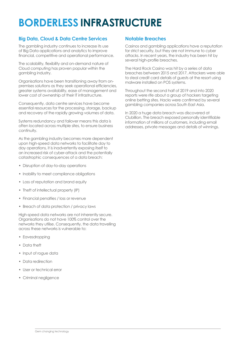# **BORDERLESS INFRASTRUCTURE**

#### **Big Data, Cloud & Data Centre Services**

The gambling industry continues to increase its use of Big Data applications and analytics to improve financial, competitive and operational performance.

The scalability, flexibility and on-demand nature of Cloud computing has proven popular within the gambling industry.

Organisations have been transitioning away from onpremises solutions as they seek operational efficiencies, greater systems availability, ease of management and lower cost of ownership of their IT infrastructure.

Consequently, data centre services have become essential resources for the processing, storage, backup and recovery of the rapidly growing volumes of data.

Systems redundancy and failover means this data is often located across multiple sites, to ensure business continuity.

As the gambling industry becomes more dependent upon high-speed data networks to facilitate day to day operations, it is inadvertently exposing itself to an increased risk of cyber-attack and the potentially catastrophic consequences of a data breach:

- Disruption of day-to-day operations
- Inability to meet compliance obligations
- Loss of reputation and brand equity
- Theft of intellectual property (IP)
- Financial penalties / loss or revenue
- Breach of data protection / privacy laws

High-speed data networks are not inherently secure. Organisations do not have 100% control over the networks they utilise. Consequently, the data travelling across these networks is vulnerable to:

- Eavesdropping
- Data theft
- Input of roque data
- Data redirection
- User or technical error
- Criminal negligence

#### **Notable Breaches**

Casinos and gambling applications have a reputation for strict security, but they are not immune to cyber attacks. In recent years, the industry has been hit by several high-profile breaches.

The Hard Rock Casino was hit by a series of data breaches between 2015 and 2017. Attackers were able to steal credit card details of guests at the resort using malware installed on POS systems.

Throughout the second half of 2019 and into 2020 reports were rife about a group of hackers targeting online betting sites. Hacks were confirmed by several gambling companies across South East Asia.

In 2020 a huge data breach was discovered at Clubillion. The breach exposed personally identifiable information of millions of customers, including email addresses, private messages and details of winnings.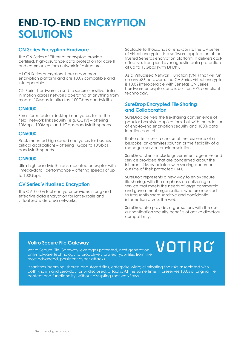## **END-TO-END ENCRYPTION SOLUTIONS**

#### **CN Series Encryption Hardware**

The CN Series of Ethernet encryptors provide certified, high-assurance data protection for core IT and communications network infrastructure.

All CN Series encryptors share a common encryption platform and are 100% compatible and interoperable.

CN Series hardware is used to secure sensitive data in motion across networks operating at anything from modest 10Mbps to ultra-fast 100Gbps bandwidths.

#### **CN4000**

Small form-factor (desktop) encryptors for 'in the field' network link security (e.g. CCTV) – offering 10Mbps, 100Mbps and 1Gbps bandwidth speeds.

#### **CN6000**

Rack-mounted high speed encryptors for businesscritical applications – offering 1Gbps to 10Gbps bandwidth speeds.

#### **CN9000**

Ultra-high bandwidth, rack-mounted encryptor with "mega-data" performance – offering speeds of up to 100Gbps.

#### **CV Series Virtualised Encryption**

The CV1000 virtual encryptor provides strong and effective data encryption for large-scale and virtualised wide-area networks.

Scalable to thousands of end-points, the CV series of virtual encryptors is a software application of the trusted Senetas encryption platform. It delivers costeffective, transport Layer agnostic data protection at up to 15Gbps (with DPDK).

As a Virtualised Network Function (VNF) that will run on any x86 hardware, the CV Series virtual encryptor is 100% interoperable with Senetas CN Series hardware encryptors and is built on FIPS compliant technology.

#### **SureDrop Encrypted File Sharing and Collaboration**

SureDrop delivers the file-sharing convenience of popular box-style applications, but with the addition of end-to-end encryption security and 100% data location control.

It also offers users a choice of the resilience of a bespoke, on-premises solution or the flexibility of a managed service provider solution.

SureDrop clients include government agencies and service providers that are concerned about the inherent risks associated with sharing documents outside of their protected LAN.

SureDrop represents a new way to enjoy secure file sharing; with the emphasis on delivering a service that meets the needs of large commercial and government organisations who are required to frequently share sensitive and confidential information across the web.

SureDrop also provides organisations with the userauthentication security benefits of active directory compatibility.

#### **Votiro Secure File Gateway**

Votiro Secure File Gateway leverages patented, next generation anti-malware technology to proactively protect your files from the most advanced, persistent cyber-attacks.

# VOTIRG

It sanitises incoming, shared and stored files, enterprise-wide; eliminating the risks associated with both known and zero-day, or undisclosed, attacks. At the same time, it preserves 100% of original file content and functionality, without disrupting user workflows.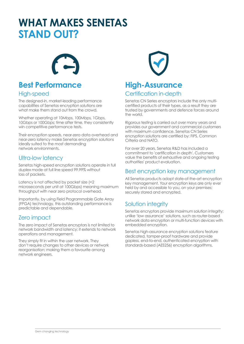## **WHAT MAKES SENETAS STAND OUT?**



### **Best Performance**

#### High-speed

The designed-in, market-leading performance capabilities of Senetas encryption solutions are what make them stand out from the crowd.

Whether operating at 10Mbps, 100Mbps, 1Gbps, 10Gbps or 100Gbps; time after time, they consistently win competitive performance tests.

Their encryption speeds, near-zero data overhead and near-zero latency make Senetas encryption solutions ideally suited to the most demanding network environments.

#### Ultra-low latency

Senetas high-speed encryption solutions operate in full duplex mode at full line speed 99.99% without loss of packets.

Latency is not affected by packet size (<2 microseconds per unit at 100Gbps) meaning maximum throughput with near zero protocol overhead.

Importantly, by using Field Programmable Gate Array (FPGA) technology, this outstanding performance is predictable and dependable.

#### Zero impact

The zero impact of Senetas encryptors is not limited to network bandwidth and latency; it extends to network operations and management.

They simply fit in within the user network. They don't require changes to other devices or network reorganisation; making them a favourite among network engineers.



### **High-Assurance** Certification in-depth

Senetas CN Series encryptors include the only multicertified products of their types, as a result they are trusted by governments and defence forces around the world.

Rigorous testing is carried out over many years and provides our government and commercial customers with maximum confidence. Senetas CN Series encryption solutions are certified by: FIPS, Common Criteria and NATO.

For over 20 years, Senetas R&D has included a commitment to 'certification in depth'. Customers value the benefits of exhaustive and ongoing testing authorities' product evaluation.

#### Best encryption key management

All Senetas products adopt state-of-the-art encryption key management. Your encryption keys are only ever held by and accessible to you, on your premises; securely stored and encrypted.

### Solution integrity

Senetas encryptors provide maximum solution integrity; unlike 'low assurance' solutions, such as router-based network data encryption or multi-function devices with embedded encryption.

Senetas high-assurance encryption solutions feature dedicated, tamper-proof hardware and provide gapless, end-to-end, authenticated encryption with standards-based (AES256) encryption algorithms.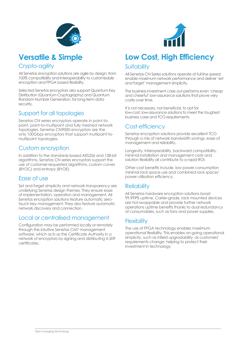



### **Versatile & Simple**

#### Crypto-agility

All Senetas encryption solutions are agile by design; from 100% compatibility and interoperability to customisable encryption and FPGA based flexibility.

Selected Senetas encryptors also support Quantum Key Distribution (Quantum Cryptography) and Quantum Random Number Generation, for long-term data security.

#### Support for all topologies

Senetas CN series encryptors operate in point-topoint, point-to-multipoint and fully meshed network topologies. Senetas CN9000 encryptors are the only 100Gbps encryptors that support multipoint-tomultipoint topologies.

#### Custom encryption

In addition to the standards-based AES256 and 128-bit algorithms, Senetas CN series encryptors support the use of customer-requested algorithms, custom curves (BYOC) and entropy (BYOE).

#### Ease of use

Set and forget simplicity and network transparency are underlying Senetas design themes. They ensure ease of implementation, operation and management. All Senetas encryption solutions feature automatic zerotouch key management. They also feature automatic network discovery and connection.

#### Local or centralised management

Configuration may be performed locally or remotely through the intuitive Senetas CM7 management software; which acts as the Certificate Authority in a network of encryptors by signing and distributing X.509 certificates.

### **Low Cost, High Efficiency** Suitability

All Senetas CN Series solutions operate at full line speed; enable maximum network performance and deliver 'set and forget' management simplicity.

The business investment case out-performs even 'cheap and cheerful' low-assurance solutions that prove very costly over time.

It is not necessary, nor beneficial, to opt for low-cost, low-assurance solutions to meet the toughest business case and TCO requirements.

#### Cost-efficiency

Senetas encryption solutions provide excellent TCO through a mix of network bandwidth savings, ease of management and reliability.

Longevity, interoperability, backward compatibility, minimal installation and management costs and solution flexibility all contribute to a rapid ROI.

Other cost benefits include, low power consumption minimal rack space use and combined rack space/ power utilisation efficiency.

#### **Reliability**

All Senetas hardware encryption solutions boast 99.999% uptime. Carrier-grade, rack mounted devices are hot-swappable and provide further network operations uptime benefits thanks to dual redundancy of consumables, such as fans and power supplies.

#### **Flexibility**

The use of FPGA technology enables maximum operational flexibility. This enables on-going operational simplicity, such as infield upgradability, as customers' requirements change; helping to protect their investment in technology.